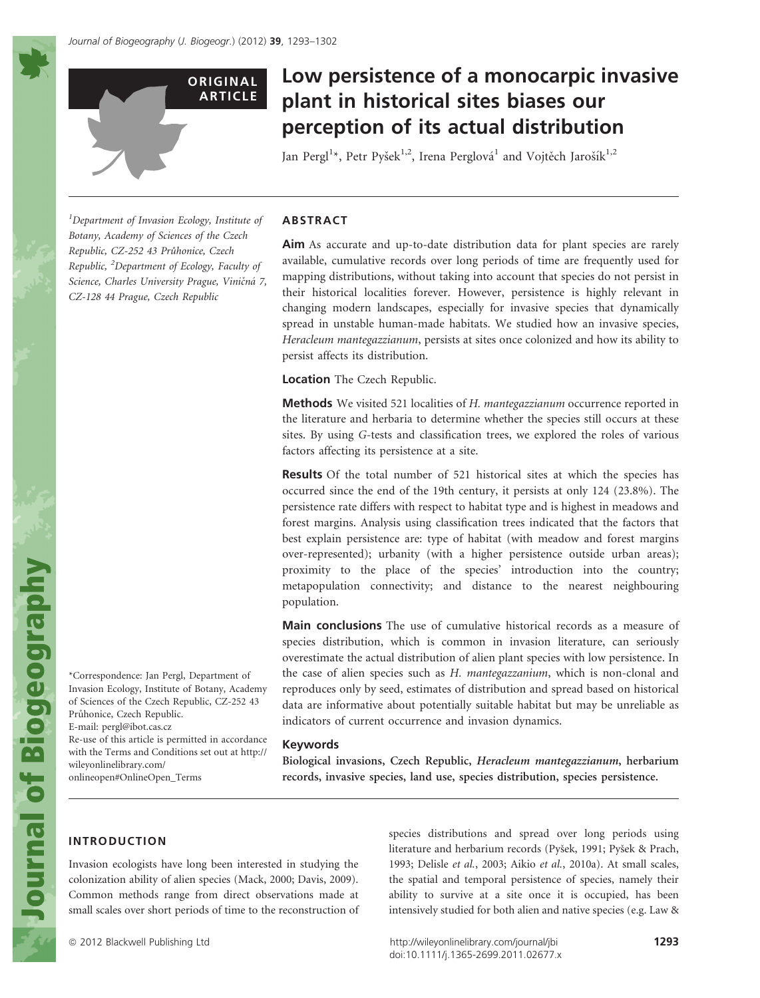

# Low persistence of a monocarpic invasive plant in historical sites biases our perception of its actual distribution

Jan Pergl $^{1*}$ , Petr Pyšek $^{1,2}$ , Irena Perglová $^{1}$  and Vojtěch Jarošík $^{1,2}$ 

<sup>1</sup>Department of Invasion Ecology, Institute of Botany, Academy of Sciences of the Czech Republic, CZ-252 43 Průhonice, Czech Republic, <sup>2</sup>Department of Ecology, Faculty of Science, Charles University Prague, Viničná 7, CZ-128 44 Prague, Czech Republic

# **ABSTRACT**

Aim As accurate and up-to-date distribution data for plant species are rarely available, cumulative records over long periods of time are frequently used for mapping distributions, without taking into account that species do not persist in their historical localities forever. However, persistence is highly relevant in changing modern landscapes, especially for invasive species that dynamically spread in unstable human-made habitats. We studied how an invasive species, Heracleum mantegazzianum, persists at sites once colonized and how its ability to persist affects its distribution.

Location The Czech Republic.

Methods We visited 521 localities of H. mantegazzianum occurrence reported in the literature and herbaria to determine whether the species still occurs at these sites. By using G-tests and classification trees, we explored the roles of various factors affecting its persistence at a site.

Results Of the total number of 521 historical sites at which the species has occurred since the end of the 19th century, it persists at only 124 (23.8%). The persistence rate differs with respect to habitat type and is highest in meadows and forest margins. Analysis using classification trees indicated that the factors that best explain persistence are: type of habitat (with meadow and forest margins over-represented); urbanity (with a higher persistence outside urban areas); proximity to the place of the species' introduction into the country; metapopulation connectivity; and distance to the nearest neighbouring population.

Main conclusions The use of cumulative historical records as a measure of species distribution, which is common in invasion literature, can seriously overestimate the actual distribution of alien plant species with low persistence. In the case of alien species such as H. mantegazzanium, which is non-clonal and reproduces only by seed, estimates of distribution and spread based on historical data are informative about potentially suitable habitat but may be unreliable as indicators of current occurrence and invasion dynamics.

#### Keywords

Biological invasions, Czech Republic, Heracleum mantegazzianum, herbarium records, invasive species, land use, species distribution, species persistence.

# INTRODUCTION

wileyonlinelibrary.com/ onlineopen#OnlineOpen\_Terms

Průhonice, Czech Republic. E-mail: pergl@ibot.cas.cz

\*Correspondence: Jan Pergl, Department of Invasion Ecology, Institute of Botany, Academy of Sciences of the Czech Republic, CZ-252 43

Re-use of this article is permitted in accordance with the Terms and Conditions set out at http://

Invasion ecologists have long been interested in studying the colonization ability of alien species (Mack, 2000; Davis, 2009). Common methods range from direct observations made at small scales over short periods of time to the reconstruction of

species distributions and spread over long periods using literature and herbarium records (Pyšek, 1991; Pyšek & Prach, 1993; Delisle et al., 2003; Aikio et al., 2010a). At small scales, the spatial and temporal persistence of species, namely their ability to survive at a site once it is occupied, has been intensively studied for both alien and native species (e.g. Law &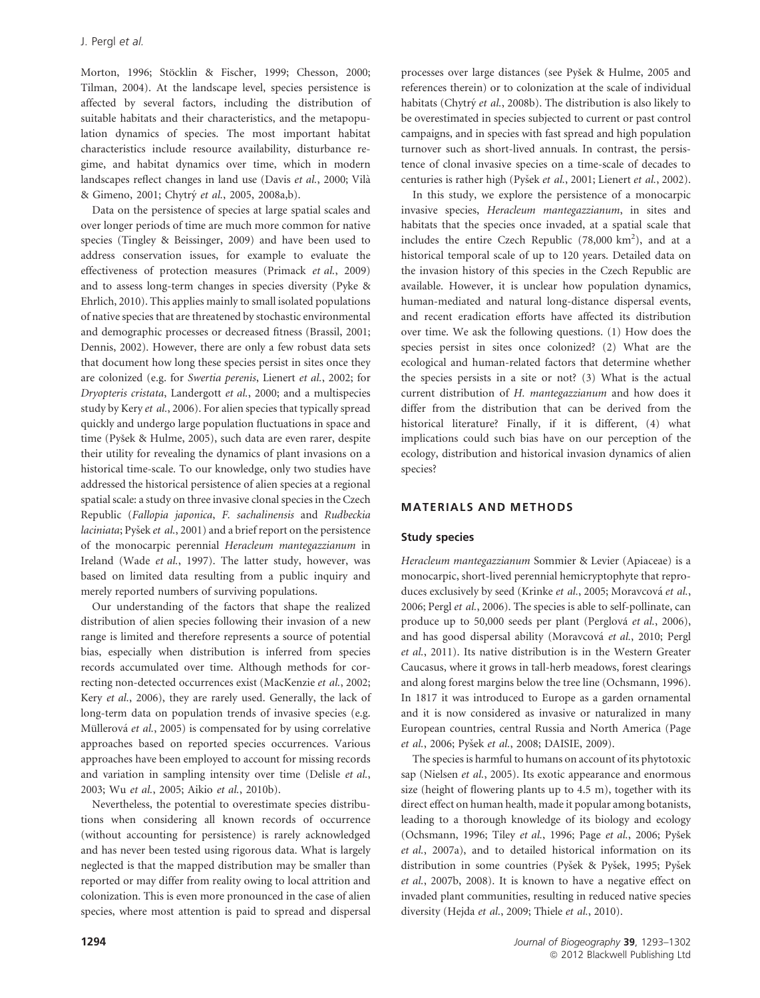Morton, 1996; Stöcklin & Fischer, 1999; Chesson, 2000; Tilman, 2004). At the landscape level, species persistence is affected by several factors, including the distribution of suitable habitats and their characteristics, and the metapopulation dynamics of species. The most important habitat characteristics include resource availability, disturbance regime, and habitat dynamics over time, which in modern landscapes reflect changes in land use (Davis et al., 2000; Vilà & Gimeno, 2001; Chytrý et al., 2005, 2008a,b).

Data on the persistence of species at large spatial scales and over longer periods of time are much more common for native species (Tingley & Beissinger, 2009) and have been used to address conservation issues, for example to evaluate the effectiveness of protection measures (Primack et al., 2009) and to assess long-term changes in species diversity (Pyke & Ehrlich, 2010). This applies mainly to small isolated populations of native species that are threatened by stochastic environmental and demographic processes or decreased fitness (Brassil, 2001; Dennis, 2002). However, there are only a few robust data sets that document how long these species persist in sites once they are colonized (e.g. for Swertia perenis, Lienert et al., 2002; for Dryopteris cristata, Landergott et al., 2000; and a multispecies study by Kery et al., 2006). For alien species that typically spread quickly and undergo large population fluctuations in space and time (Pyšek & Hulme, 2005), such data are even rarer, despite their utility for revealing the dynamics of plant invasions on a historical time-scale. To our knowledge, only two studies have addressed the historical persistence of alien species at a regional spatial scale: a study on three invasive clonal species in the Czech Republic (Fallopia japonica, F. sachalinensis and Rudbeckia laciniata; Pyšek et al., 2001) and a brief report on the persistence of the monocarpic perennial Heracleum mantegazzianum in Ireland (Wade et al., 1997). The latter study, however, was based on limited data resulting from a public inquiry and merely reported numbers of surviving populations.

Our understanding of the factors that shape the realized distribution of alien species following their invasion of a new range is limited and therefore represents a source of potential bias, especially when distribution is inferred from species records accumulated over time. Although methods for correcting non-detected occurrences exist (MacKenzie et al., 2002; Kery et al., 2006), they are rarely used. Generally, the lack of long-term data on population trends of invasive species (e.g. Müllerová et al., 2005) is compensated for by using correlative approaches based on reported species occurrences. Various approaches have been employed to account for missing records and variation in sampling intensity over time (Delisle et al., 2003; Wu et al., 2005; Aikio et al., 2010b).

Nevertheless, the potential to overestimate species distributions when considering all known records of occurrence (without accounting for persistence) is rarely acknowledged and has never been tested using rigorous data. What is largely neglected is that the mapped distribution may be smaller than reported or may differ from reality owing to local attrition and colonization. This is even more pronounced in the case of alien species, where most attention is paid to spread and dispersal processes over large distances (see Pyšek & Hulme, 2005 and references therein) or to colonization at the scale of individual habitats (Chytrý et al., 2008b). The distribution is also likely to be overestimated in species subjected to current or past control campaigns, and in species with fast spread and high population turnover such as short-lived annuals. In contrast, the persistence of clonal invasive species on a time-scale of decades to centuries is rather high (Pyšek et al., 2001; Lienert et al., 2002).

In this study, we explore the persistence of a monocarpic invasive species, Heracleum mantegazzianum, in sites and habitats that the species once invaded, at a spatial scale that includes the entire Czech Republic  $(78,000 \text{ km}^2)$ , and at a historical temporal scale of up to 120 years. Detailed data on the invasion history of this species in the Czech Republic are available. However, it is unclear how population dynamics, human-mediated and natural long-distance dispersal events, and recent eradication efforts have affected its distribution over time. We ask the following questions. (1) How does the species persist in sites once colonized? (2) What are the ecological and human-related factors that determine whether the species persists in a site or not? (3) What is the actual current distribution of H. mantegazzianum and how does it differ from the distribution that can be derived from the historical literature? Finally, if it is different, (4) what implications could such bias have on our perception of the ecology, distribution and historical invasion dynamics of alien species?

# MATERIALS AND METHODS

#### Study species

Heracleum mantegazzianum Sommier & Levier (Apiaceae) is a monocarpic, short-lived perennial hemicryptophyte that reproduces exclusively by seed (Krinke et al., 2005; Moravcová et al., 2006; Pergl et al., 2006). The species is able to self-pollinate, can produce up to 50,000 seeds per plant (Perglová et al., 2006), and has good dispersal ability (Moravcová et al., 2010; Pergl et al., 2011). Its native distribution is in the Western Greater Caucasus, where it grows in tall-herb meadows, forest clearings and along forest margins below the tree line (Ochsmann, 1996). In 1817 it was introduced to Europe as a garden ornamental and it is now considered as invasive or naturalized in many European countries, central Russia and North America (Page et al., 2006; Pyšek et al., 2008; DAISIE, 2009).

The species is harmful to humans on account of its phytotoxic sap (Nielsen et al., 2005). Its exotic appearance and enormous size (height of flowering plants up to 4.5 m), together with its direct effect on human health, made it popular among botanists, leading to a thorough knowledge of its biology and ecology (Ochsmann, 1996; Tiley et al., 1996; Page et al., 2006; Pyšek et al., 2007a), and to detailed historical information on its distribution in some countries (Pyšek & Pyšek, 1995; Pyšek et al., 2007b, 2008). It is known to have a negative effect on invaded plant communities, resulting in reduced native species diversity (Hejda et al., 2009; Thiele et al., 2010).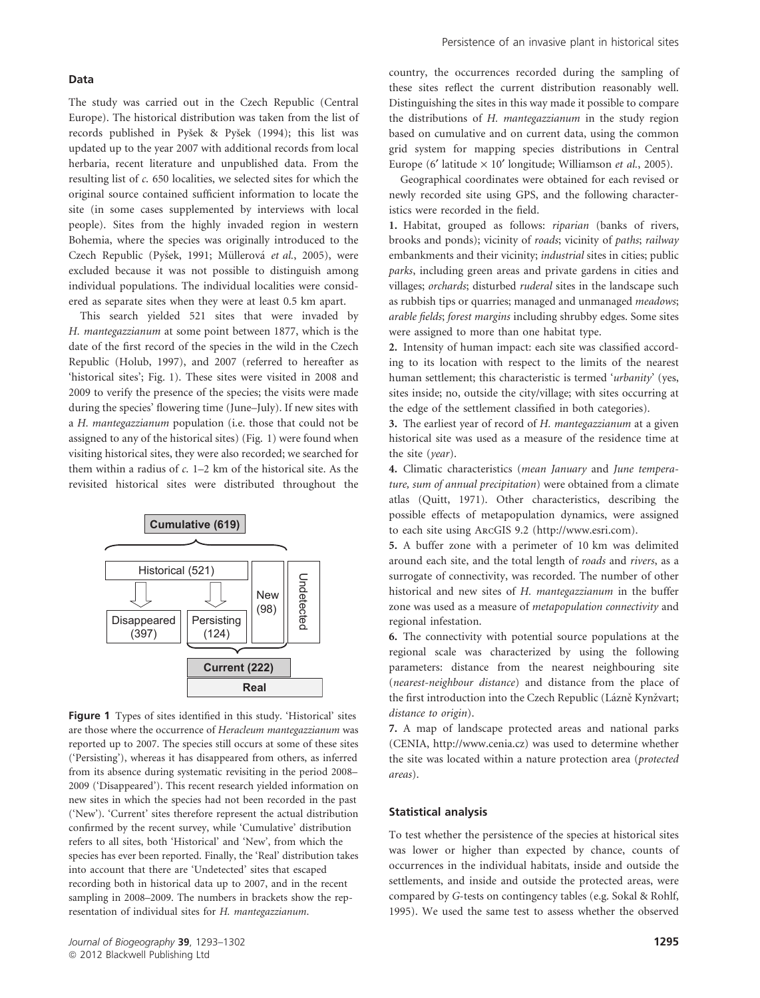#### Data

The study was carried out in the Czech Republic (Central Europe). The historical distribution was taken from the list of records published in Pyšek & Pyšek (1994); this list was updated up to the year 2007 with additional records from local herbaria, recent literature and unpublished data. From the resulting list of c. 650 localities, we selected sites for which the original source contained sufficient information to locate the site (in some cases supplemented by interviews with local people). Sites from the highly invaded region in western Bohemia, where the species was originally introduced to the Czech Republic (Pyšek, 1991; Müllerová et al., 2005), were excluded because it was not possible to distinguish among individual populations. The individual localities were considered as separate sites when they were at least 0.5 km apart.

This search yielded 521 sites that were invaded by H. mantegazzianum at some point between 1877, which is the date of the first record of the species in the wild in the Czech Republic (Holub, 1997), and 2007 (referred to hereafter as 'historical sites'; Fig. 1). These sites were visited in 2008 and 2009 to verify the presence of the species; the visits were made during the species' flowering time (June–July). If new sites with a H. mantegazzianum population (i.e. those that could not be assigned to any of the historical sites) (Fig. 1) were found when visiting historical sites, they were also recorded; we searched for them within a radius of  $c$ . 1–2 km of the historical site. As the revisited historical sites were distributed throughout the



Figure 1 Types of sites identified in this study. 'Historical' sites are those where the occurrence of Heracleum mantegazzianum was reported up to 2007. The species still occurs at some of these sites ('Persisting'), whereas it has disappeared from others, as inferred from its absence during systematic revisiting in the period 2008– 2009 ('Disappeared'). This recent research yielded information on new sites in which the species had not been recorded in the past ('New'). 'Current' sites therefore represent the actual distribution confirmed by the recent survey, while 'Cumulative' distribution refers to all sites, both 'Historical' and 'New', from which the species has ever been reported. Finally, the 'Real' distribution takes into account that there are 'Undetected' sites that escaped recording both in historical data up to 2007, and in the recent sampling in 2008–2009. The numbers in brackets show the representation of individual sites for H. mantegazzianum.

country, the occurrences recorded during the sampling of these sites reflect the current distribution reasonably well. Distinguishing the sites in this way made it possible to compare the distributions of H. mantegazzianum in the study region based on cumulative and on current data, using the common grid system for mapping species distributions in Central Europe (6' latitude  $\times$  10' longitude; Williamson et al., 2005).

Geographical coordinates were obtained for each revised or newly recorded site using GPS, and the following characteristics were recorded in the field.

1. Habitat, grouped as follows: riparian (banks of rivers, brooks and ponds); vicinity of roads; vicinity of paths; railway embankments and their vicinity; industrial sites in cities; public parks, including green areas and private gardens in cities and villages; orchards; disturbed ruderal sites in the landscape such as rubbish tips or quarries; managed and unmanaged meadows; arable fields; forest margins including shrubby edges. Some sites were assigned to more than one habitat type.

2. Intensity of human impact: each site was classified according to its location with respect to the limits of the nearest human settlement; this characteristic is termed 'urbanity' (yes, sites inside; no, outside the city/village; with sites occurring at the edge of the settlement classified in both categories).

3. The earliest year of record of H. mantegazzianum at a given historical site was used as a measure of the residence time at the site (year).

4. Climatic characteristics (mean January and June temperature, sum of annual precipitation) were obtained from a climate atlas (Quitt, 1971). Other characteristics, describing the possible effects of metapopulation dynamics, were assigned to each site using ArcGIS 9.2 (http://www.esri.com).

5. A buffer zone with a perimeter of 10 km was delimited around each site, and the total length of roads and rivers, as a surrogate of connectivity, was recorded. The number of other historical and new sites of H. mantegazzianum in the buffer zone was used as a measure of metapopulation connectivity and regional infestation.

6. The connectivity with potential source populations at the regional scale was characterized by using the following parameters: distance from the nearest neighbouring site (nearest-neighbour distance) and distance from the place of the first introduction into the Czech Republic (Lázně Kynžvart; distance to origin).

7. A map of landscape protected areas and national parks (CENIA, http://www.cenia.cz) was used to determine whether the site was located within a nature protection area (protected areas).

#### Statistical analysis

To test whether the persistence of the species at historical sites was lower or higher than expected by chance, counts of occurrences in the individual habitats, inside and outside the settlements, and inside and outside the protected areas, were compared by G-tests on contingency tables (e.g. Sokal & Rohlf, 1995). We used the same test to assess whether the observed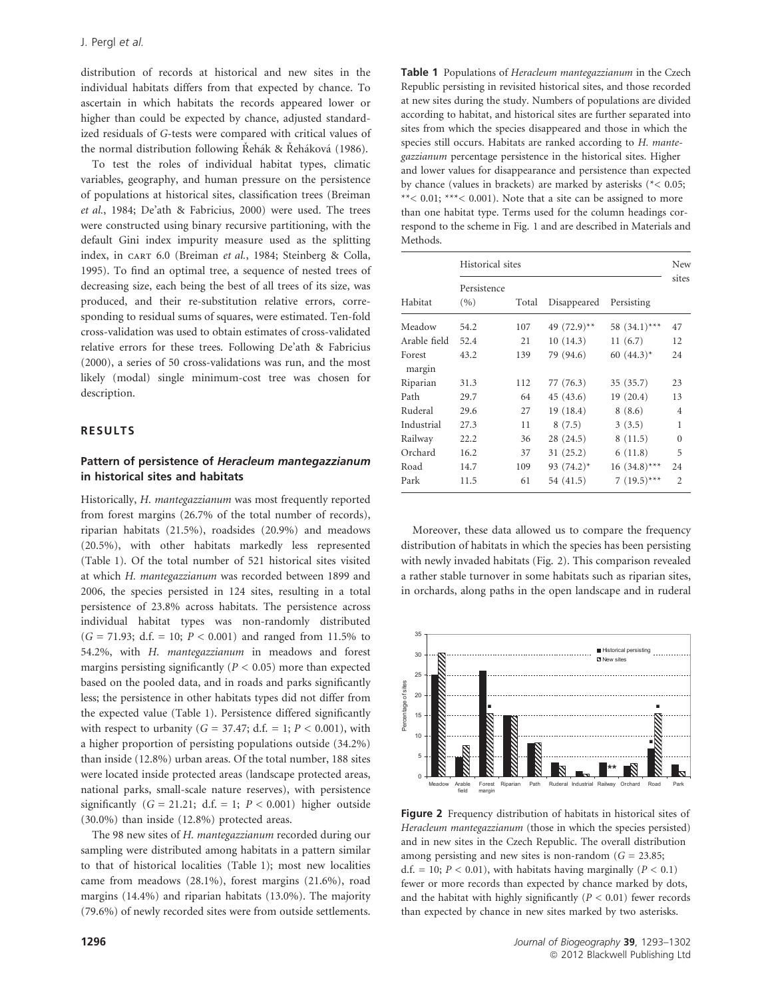distribution of records at historical and new sites in the individual habitats differs from that expected by chance. To ascertain in which habitats the records appeared lower or higher than could be expected by chance, adjusted standardized residuals of G-tests were compared with critical values of the normal distribution following Řehák & Řeháková (1986).

To test the roles of individual habitat types, climatic variables, geography, and human pressure on the persistence of populations at historical sites, classification trees (Breiman et al., 1984; De'ath & Fabricius, 2000) were used. The trees were constructed using binary recursive partitioning, with the default Gini index impurity measure used as the splitting index, in CART 6.0 (Breiman et al., 1984; Steinberg & Colla, 1995). To find an optimal tree, a sequence of nested trees of decreasing size, each being the best of all trees of its size, was produced, and their re-substitution relative errors, corresponding to residual sums of squares, were estimated. Ten-fold cross-validation was used to obtain estimates of cross-validated relative errors for these trees. Following De'ath & Fabricius (2000), a series of 50 cross-validations was run, and the most likely (modal) single minimum-cost tree was chosen for description.

# RESULTS

# Pattern of persistence of Heracleum mantegazzianum in historical sites and habitats

Historically, H. mantegazzianum was most frequently reported from forest margins (26.7% of the total number of records), riparian habitats (21.5%), roadsides (20.9%) and meadows (20.5%), with other habitats markedly less represented (Table 1). Of the total number of 521 historical sites visited at which H. mantegazzianum was recorded between 1899 and 2006, the species persisted in 124 sites, resulting in a total persistence of 23.8% across habitats. The persistence across individual habitat types was non-randomly distributed  $(G = 71.93; d.f. = 10; P < 0.001)$  and ranged from 11.5% to 54.2%, with H. mantegazzianum in meadows and forest margins persisting significantly ( $P < 0.05$ ) more than expected based on the pooled data, and in roads and parks significantly less; the persistence in other habitats types did not differ from the expected value (Table 1). Persistence differed significantly with respect to urbanity ( $G = 37.47$ ; d.f. = 1;  $P < 0.001$ ), with a higher proportion of persisting populations outside (34.2%) than inside (12.8%) urban areas. Of the total number, 188 sites were located inside protected areas (landscape protected areas, national parks, small-scale nature reserves), with persistence significantly  $(G = 21.21; d.f. = 1; P < 0.001)$  higher outside (30.0%) than inside (12.8%) protected areas.

The 98 new sites of H. mantegazzianum recorded during our sampling were distributed among habitats in a pattern similar to that of historical localities (Table 1); most new localities came from meadows (28.1%), forest margins (21.6%), road margins (14.4%) and riparian habitats (13.0%). The majority (79.6%) of newly recorded sites were from outside settlements. Table 1 Populations of Heracleum mantegazzianum in the Czech Republic persisting in revisited historical sites, and those recorded at new sites during the study. Numbers of populations are divided according to habitat, and historical sites are further separated into sites from which the species disappeared and those in which the species still occurs. Habitats are ranked according to H. mantegazzianum percentage persistence in the historical sites. Higher and lower values for disappearance and persistence than expected by chance (values in brackets) are marked by asterisks (\*< 0.05; \*\*<  $0.01$ ; \*\*\*<  $0.001$ ). Note that a site can be assigned to more than one habitat type. Terms used for the column headings correspond to the scheme in Fig. 1 and are described in Materials and Methods.

| Habitat          | Historical sites     |       |                           |                | <b>New</b>     |
|------------------|----------------------|-------|---------------------------|----------------|----------------|
|                  | Persistence<br>(9/6) | Total | Disappeared               | Persisting     | sites          |
| Meadow           | 54.2                 | 107   | 49 $(72.9)$ <sup>**</sup> | 58 $(34.1)***$ | 47             |
| Arable field     | 52.4                 | 21    | 10(14.3)                  | 11(6.7)        | 12             |
| Forest<br>margin | 43.2                 | 139   | 79 (94.6)                 | 60 $(44.3)^*$  | 24             |
| Riparian         | 31.3                 | 112   | 77 (76.3)                 | 35 (35.7)      | 23             |
| Path             | 29.7                 | 64    | 45 (43.6)                 | 19(20.4)       | 13             |
| Ruderal          | 29.6                 | 27    | 19(18.4)                  | 8(8.6)         | $\overline{4}$ |
| Industrial       | 27.3                 | 11    | 8(7.5)                    | 3(3.5)         | 1              |
| Railway          | 22.2                 | 36    | 28 (24.5)                 | 8(11.5)        | $\theta$       |
| Orchard          | 16.2                 | 37    | 31(25.2)                  | 6(11.8)        | 5              |
| Road             | 14.7                 | 109   | 93 $(74.2)^*$             | $16(34.8)***$  | 24             |
| Park             | 11.5                 | 61    | 54 (41.5)                 | $7(19.5)***$   | $\overline{c}$ |

Moreover, these data allowed us to compare the frequency distribution of habitats in which the species has been persisting with newly invaded habitats (Fig. 2). This comparison revealed a rather stable turnover in some habitats such as riparian sites, in orchards, along paths in the open landscape and in ruderal



Figure 2 Frequency distribution of habitats in historical sites of Heracleum mantegazzianum (those in which the species persisted) and in new sites in the Czech Republic. The overall distribution among persisting and new sites is non-random  $(G = 23.85;$ d.f. = 10;  $P < 0.01$ ), with habitats having marginally ( $P < 0.1$ ) fewer or more records than expected by chance marked by dots, and the habitat with highly significantly  $(P < 0.01)$  fewer records than expected by chance in new sites marked by two asterisks.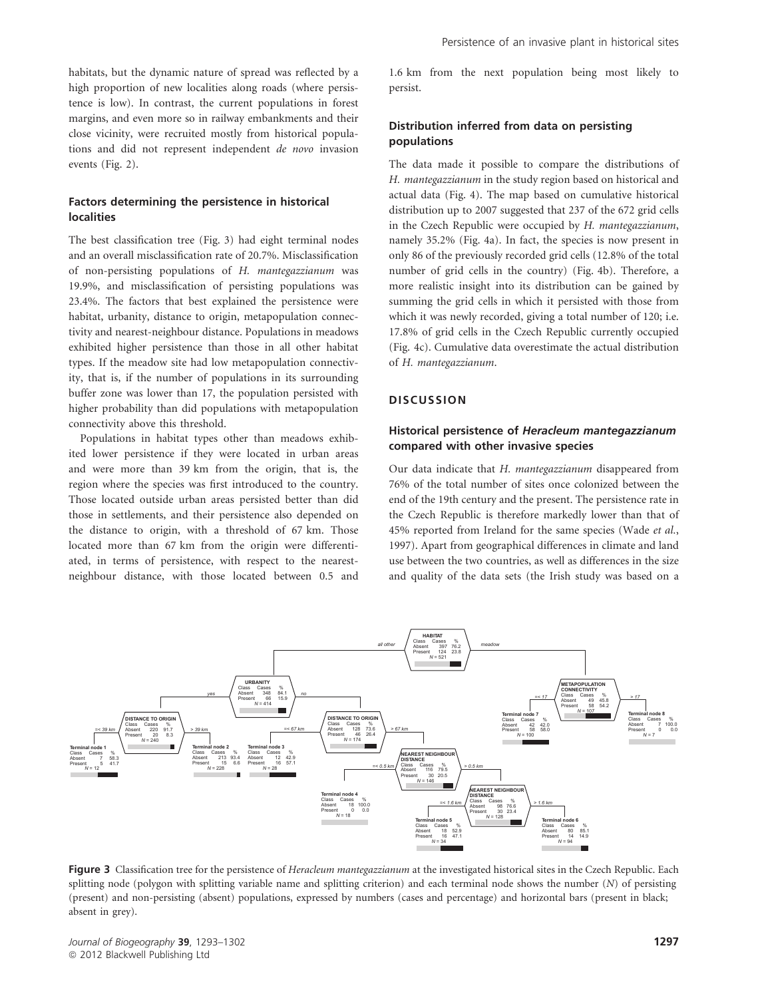habitats, but the dynamic nature of spread was reflected by a high proportion of new localities along roads (where persistence is low). In contrast, the current populations in forest margins, and even more so in railway embankments and their close vicinity, were recruited mostly from historical populations and did not represent independent de novo invasion events (Fig. 2).

#### Factors determining the persistence in historical localities

The best classification tree (Fig. 3) had eight terminal nodes and an overall misclassification rate of 20.7%. Misclassification of non-persisting populations of H. mantegazzianum was 19.9%, and misclassification of persisting populations was 23.4%. The factors that best explained the persistence were habitat, urbanity, distance to origin, metapopulation connectivity and nearest-neighbour distance. Populations in meadows exhibited higher persistence than those in all other habitat types. If the meadow site had low metapopulation connectivity, that is, if the number of populations in its surrounding buffer zone was lower than 17, the population persisted with higher probability than did populations with metapopulation connectivity above this threshold.

Populations in habitat types other than meadows exhibited lower persistence if they were located in urban areas and were more than 39 km from the origin, that is, the region where the species was first introduced to the country. Those located outside urban areas persisted better than did those in settlements, and their persistence also depended on the distance to origin, with a threshold of 67 km. Those located more than 67 km from the origin were differentiated, in terms of persistence, with respect to the nearestneighbour distance, with those located between 0.5 and 1.6 km from the next population being most likely to persist.

## Distribution inferred from data on persisting populations

The data made it possible to compare the distributions of H. mantegazzianum in the study region based on historical and actual data (Fig. 4). The map based on cumulative historical distribution up to 2007 suggested that 237 of the 672 grid cells in the Czech Republic were occupied by H. mantegazzianum, namely 35.2% (Fig. 4a). In fact, the species is now present in only 86 of the previously recorded grid cells (12.8% of the total number of grid cells in the country) (Fig. 4b). Therefore, a more realistic insight into its distribution can be gained by summing the grid cells in which it persisted with those from which it was newly recorded, giving a total number of 120; i.e. 17.8% of grid cells in the Czech Republic currently occupied (Fig. 4c). Cumulative data overestimate the actual distribution of H. mantegazzianum.

#### **DISCUSSION**

# Historical persistence of Heracleum mantegazzianum compared with other invasive species

Our data indicate that H. mantegazzianum disappeared from 76% of the total number of sites once colonized between the end of the 19th century and the present. The persistence rate in the Czech Republic is therefore markedly lower than that of 45% reported from Ireland for the same species (Wade et al., 1997). Apart from geographical differences in climate and land use between the two countries, as well as differences in the size and quality of the data sets (the Irish study was based on a



Figure 3 Classification tree for the persistence of Heracleum mantegazzianum at the investigated historical sites in the Czech Republic. Each splitting node (polygon with splitting variable name and splitting criterion) and each terminal node shows the number (N) of persisting (present) and non-persisting (absent) populations, expressed by numbers (cases and percentage) and horizontal bars (present in black; absent in grey).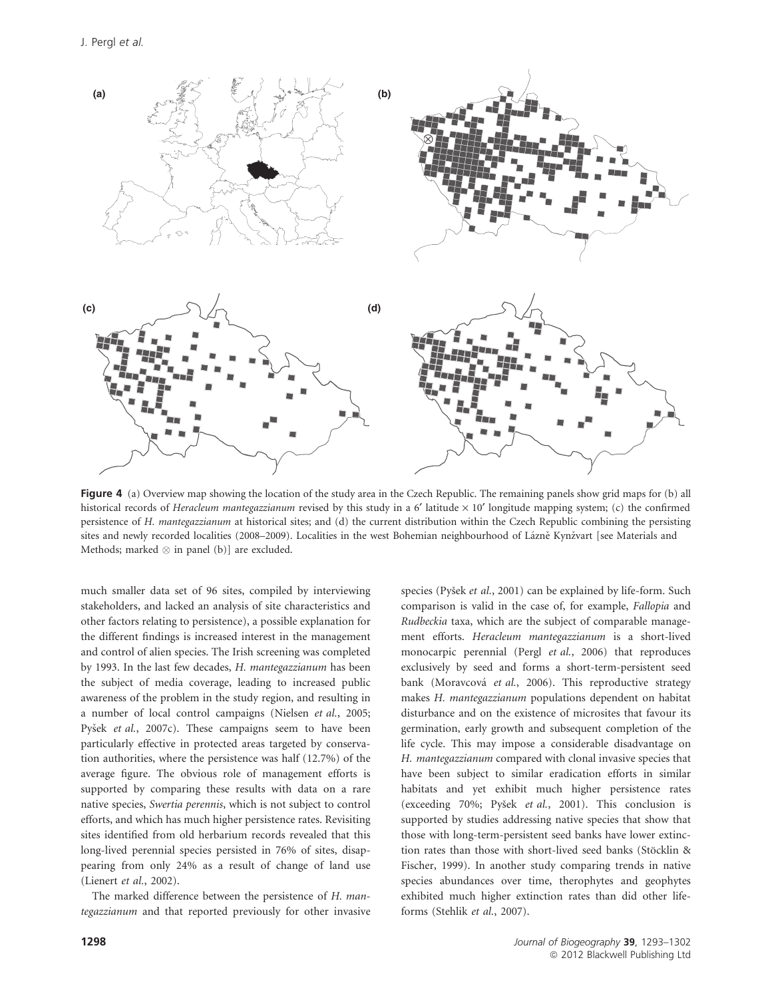

Fiqure 4 (a) Overview map showing the location of the study area in the Czech Republic. The remaining panels show grid maps for (b) all historical records of Heracleum mantegazzianum revised by this study in a 6' latitude  $\times 10'$  longitude mapping system; (c) the confirmed persistence of H. mantegazzianum at historical sites; and (d) the current distribution within the Czech Republic combining the persisting sites and newly recorded localities (2008–2009). Localities in the west Bohemian neighbourhood of Lázně Kynžvart [see Materials and Methods; marked  $\otimes$  in panel (b)] are excluded.

much smaller data set of 96 sites, compiled by interviewing stakeholders, and lacked an analysis of site characteristics and other factors relating to persistence), a possible explanation for the different findings is increased interest in the management and control of alien species. The Irish screening was completed by 1993. In the last few decades, H. mantegazzianum has been the subject of media coverage, leading to increased public awareness of the problem in the study region, and resulting in a number of local control campaigns (Nielsen et al., 2005; Pyšek et al., 2007c). These campaigns seem to have been particularly effective in protected areas targeted by conservation authorities, where the persistence was half (12.7%) of the average figure. The obvious role of management efforts is supported by comparing these results with data on a rare native species, Swertia perennis, which is not subject to control efforts, and which has much higher persistence rates. Revisiting sites identified from old herbarium records revealed that this long-lived perennial species persisted in 76% of sites, disappearing from only 24% as a result of change of land use (Lienert et al., 2002).

The marked difference between the persistence of H. mantegazzianum and that reported previously for other invasive species (Pyšek et al., 2001) can be explained by life-form. Such comparison is valid in the case of, for example, Fallopia and Rudbeckia taxa, which are the subject of comparable management efforts. Heracleum mantegazzianum is a short-lived monocarpic perennial (Pergl et al., 2006) that reproduces exclusively by seed and forms a short-term-persistent seed bank (Moravcová et al., 2006). This reproductive strategy makes H. mantegazzianum populations dependent on habitat disturbance and on the existence of microsites that favour its germination, early growth and subsequent completion of the life cycle. This may impose a considerable disadvantage on H. mantegazzianum compared with clonal invasive species that have been subject to similar eradication efforts in similar habitats and yet exhibit much higher persistence rates (exceeding 70%; Pyšek et al., 2001). This conclusion is supported by studies addressing native species that show that those with long-term-persistent seed banks have lower extinction rates than those with short-lived seed banks (Stöcklin & Fischer, 1999). In another study comparing trends in native species abundances over time, therophytes and geophytes exhibited much higher extinction rates than did other lifeforms (Stehlik et al., 2007).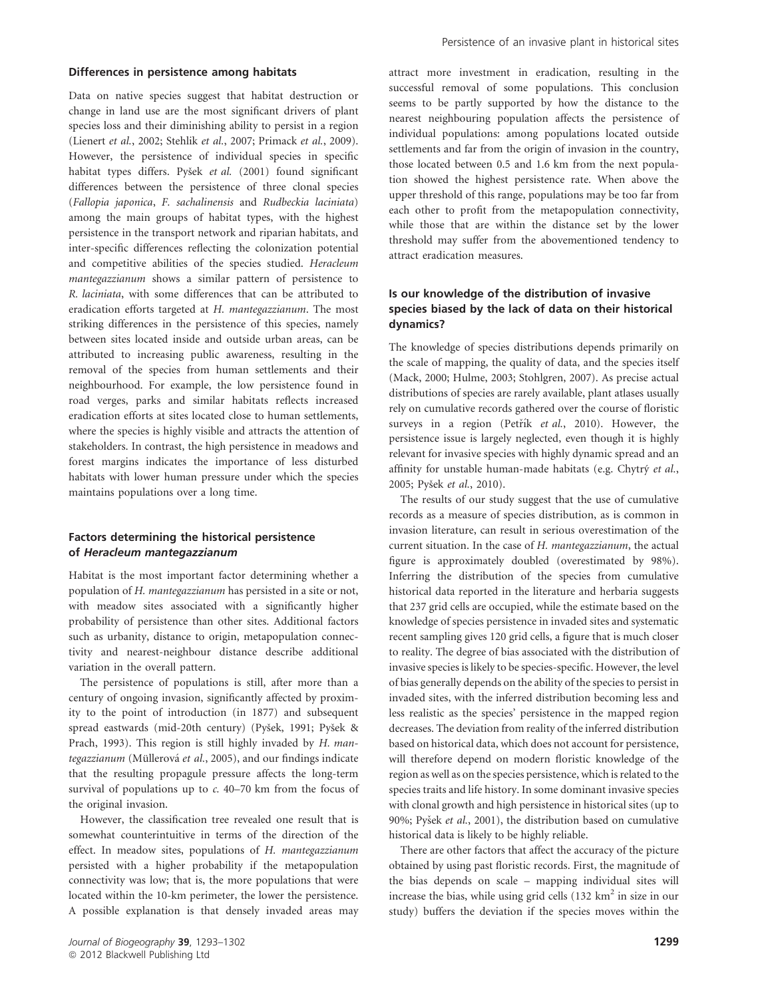#### Differences in persistence among habitats

Data on native species suggest that habitat destruction or change in land use are the most significant drivers of plant species loss and their diminishing ability to persist in a region (Lienert et al., 2002; Stehlik et al., 2007; Primack et al., 2009). However, the persistence of individual species in specific habitat types differs. Pyšek et al. (2001) found significant differences between the persistence of three clonal species (Fallopia japonica, F. sachalinensis and Rudbeckia laciniata) among the main groups of habitat types, with the highest persistence in the transport network and riparian habitats, and inter-specific differences reflecting the colonization potential and competitive abilities of the species studied. Heracleum mantegazzianum shows a similar pattern of persistence to R. laciniata, with some differences that can be attributed to eradication efforts targeted at H. mantegazzianum. The most striking differences in the persistence of this species, namely between sites located inside and outside urban areas, can be attributed to increasing public awareness, resulting in the removal of the species from human settlements and their neighbourhood. For example, the low persistence found in road verges, parks and similar habitats reflects increased eradication efforts at sites located close to human settlements, where the species is highly visible and attracts the attention of stakeholders. In contrast, the high persistence in meadows and forest margins indicates the importance of less disturbed habitats with lower human pressure under which the species maintains populations over a long time.

# Factors determining the historical persistence of Heracleum mantegazzianum

Habitat is the most important factor determining whether a population of H. mantegazzianum has persisted in a site or not, with meadow sites associated with a significantly higher probability of persistence than other sites. Additional factors such as urbanity, distance to origin, metapopulation connectivity and nearest-neighbour distance describe additional variation in the overall pattern.

The persistence of populations is still, after more than a century of ongoing invasion, significantly affected by proximity to the point of introduction (in 1877) and subsequent spread eastwards (mid-20th century) (Pyšek, 1991; Pyšek & Prach, 1993). This region is still highly invaded by H. mantegazzianum (Müllerová et al., 2005), and our findings indicate that the resulting propagule pressure affects the long-term survival of populations up to c. 40–70 km from the focus of the original invasion.

However, the classification tree revealed one result that is somewhat counterintuitive in terms of the direction of the effect. In meadow sites, populations of H. mantegazzianum persisted with a higher probability if the metapopulation connectivity was low; that is, the more populations that were located within the 10-km perimeter, the lower the persistence. A possible explanation is that densely invaded areas may

attract more investment in eradication, resulting in the successful removal of some populations. This conclusion seems to be partly supported by how the distance to the nearest neighbouring population affects the persistence of individual populations: among populations located outside settlements and far from the origin of invasion in the country, those located between 0.5 and 1.6 km from the next population showed the highest persistence rate. When above the upper threshold of this range, populations may be too far from each other to profit from the metapopulation connectivity, while those that are within the distance set by the lower threshold may suffer from the abovementioned tendency to attract eradication measures.

# Is our knowledge of the distribution of invasive species biased by the lack of data on their historical dynamics?

The knowledge of species distributions depends primarily on the scale of mapping, the quality of data, and the species itself (Mack, 2000; Hulme, 2003; Stohlgren, 2007). As precise actual distributions of species are rarely available, plant atlases usually rely on cumulative records gathered over the course of floristic surveys in a region (Petřík et al., 2010). However, the persistence issue is largely neglected, even though it is highly relevant for invasive species with highly dynamic spread and an affinity for unstable human-made habitats (e.g. Chytrý et al., 2005; Pyšek et al., 2010).

The results of our study suggest that the use of cumulative records as a measure of species distribution, as is common in invasion literature, can result in serious overestimation of the current situation. In the case of H. mantegazzianum, the actual figure is approximately doubled (overestimated by 98%). Inferring the distribution of the species from cumulative historical data reported in the literature and herbaria suggests that 237 grid cells are occupied, while the estimate based on the knowledge of species persistence in invaded sites and systematic recent sampling gives 120 grid cells, a figure that is much closer to reality. The degree of bias associated with the distribution of invasive species is likely to be species-specific. However, the level of bias generally depends on the ability of the species to persist in invaded sites, with the inferred distribution becoming less and less realistic as the species' persistence in the mapped region decreases. The deviation from reality of the inferred distribution based on historical data, which does not account for persistence, will therefore depend on modern floristic knowledge of the region as well as on the species persistence, which is related to the species traits and life history. In some dominant invasive species with clonal growth and high persistence in historical sites (up to 90%; Pyšek et al., 2001), the distribution based on cumulative historical data is likely to be highly reliable.

There are other factors that affect the accuracy of the picture obtained by using past floristic records. First, the magnitude of the bias depends on scale – mapping individual sites will increase the bias, while using grid cells  $(132 \text{ km}^2 \text{ in size in our})$ study) buffers the deviation if the species moves within the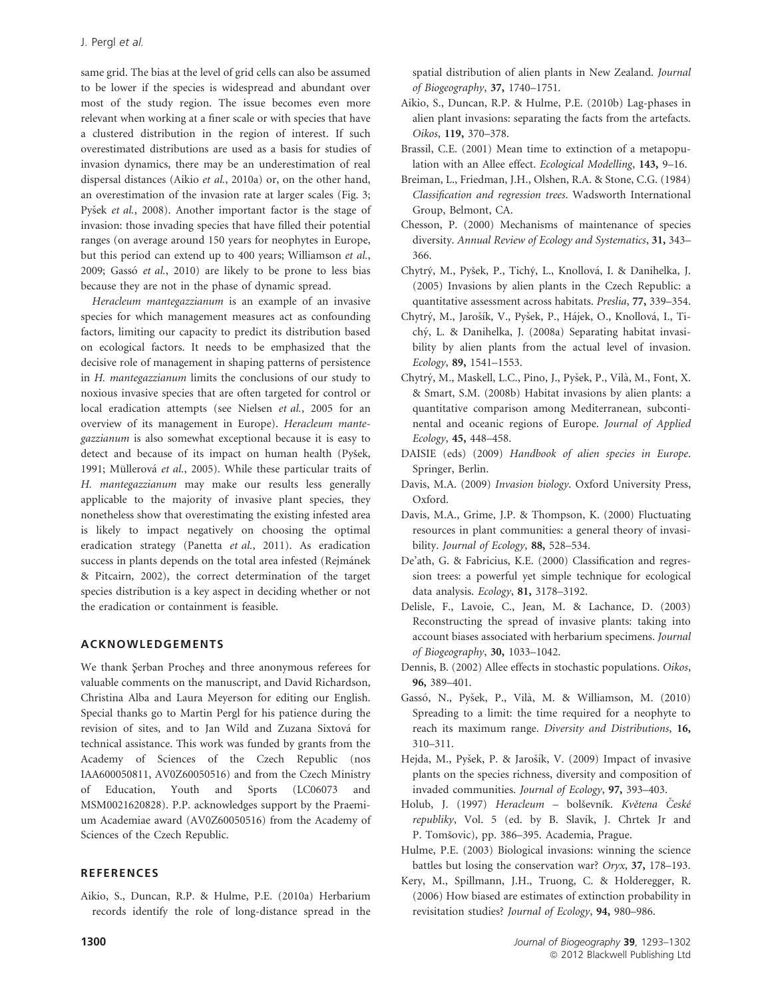same grid. The bias at the level of grid cells can also be assumed to be lower if the species is widespread and abundant over most of the study region. The issue becomes even more relevant when working at a finer scale or with species that have a clustered distribution in the region of interest. If such overestimated distributions are used as a basis for studies of invasion dynamics, there may be an underestimation of real dispersal distances (Aikio et al., 2010a) or, on the other hand, an overestimation of the invasion rate at larger scales (Fig. 3; Pyšek et al., 2008). Another important factor is the stage of invasion: those invading species that have filled their potential ranges (on average around 150 years for neophytes in Europe, but this period can extend up to 400 years; Williamson et al., 2009; Gassó et al., 2010) are likely to be prone to less bias because they are not in the phase of dynamic spread.

Heracleum mantegazzianum is an example of an invasive species for which management measures act as confounding factors, limiting our capacity to predict its distribution based on ecological factors. It needs to be emphasized that the decisive role of management in shaping patterns of persistence in H. mantegazzianum limits the conclusions of our study to noxious invasive species that are often targeted for control or local eradication attempts (see Nielsen et al., 2005 for an overview of its management in Europe). Heracleum mantegazzianum is also somewhat exceptional because it is easy to detect and because of its impact on human health (Pyšek, 1991; Müllerová et al., 2005). While these particular traits of H. mantegazzianum may make our results less generally applicable to the majority of invasive plant species, they nonetheless show that overestimating the existing infested area is likely to impact negatively on choosing the optimal eradication strategy (Panetta et al., 2011). As eradication success in plants depends on the total area infested (Rejmánek & Pitcairn, 2002), the correct determination of the target species distribution is a key aspect in deciding whether or not the eradication or containment is feasible.

# ACKNOWLEDGEMENTS

We thank Serban Proches and three anonymous referees for valuable comments on the manuscript, and David Richardson, Christina Alba and Laura Meyerson for editing our English. Special thanks go to Martin Pergl for his patience during the revision of sites, and to Jan Wild and Zuzana Sixtová for technical assistance. This work was funded by grants from the Academy of Sciences of the Czech Republic (nos IAA600050811, AV0Z60050516) and from the Czech Ministry of Education, Youth and Sports (LC06073 and MSM0021620828). P.P. acknowledges support by the Praemium Academiae award (AV0Z60050516) from the Academy of Sciences of the Czech Republic.

## **REFERENCES**

Aikio, S., Duncan, R.P. & Hulme, P.E. (2010a) Herbarium records identify the role of long-distance spread in the spatial distribution of alien plants in New Zealand. Journal of Biogeography, 37, 1740–1751.

- Aikio, S., Duncan, R.P. & Hulme, P.E. (2010b) Lag-phases in alien plant invasions: separating the facts from the artefacts. Oikos, 119, 370–378.
- Brassil, C.E. (2001) Mean time to extinction of a metapopulation with an Allee effect. Ecological Modelling, 143, 9–16.
- Breiman, L., Friedman, J.H., Olshen, R.A. & Stone, C.G. (1984) Classification and regression trees. Wadsworth International Group, Belmont, CA.
- Chesson, P. (2000) Mechanisms of maintenance of species diversity. Annual Review of Ecology and Systematics, 31, 343– 366.
- Chytrý, M., Pyšek, P., Tichý, L., Knollová, I. & Danihelka, J. (2005) Invasions by alien plants in the Czech Republic: a quantitative assessment across habitats. Preslia, 77, 339–354.
- Chytrý, M., Jarošík, V., Pyšek, P., Hájek, O., Knollová, I., Tichy´, L. & Danihelka, J. (2008a) Separating habitat invasibility by alien plants from the actual level of invasion. Ecology, 89, 1541–1553.
- Chytrý, M., Maskell, L.C., Pino, J., Pyšek, P., Vilà, M., Font, X. & Smart, S.M. (2008b) Habitat invasions by alien plants: a quantitative comparison among Mediterranean, subcontinental and oceanic regions of Europe. Journal of Applied Ecology, 45, 448–458.
- DAISIE (eds) (2009) Handbook of alien species in Europe. Springer, Berlin.
- Davis, M.A. (2009) Invasion biology. Oxford University Press, Oxford.
- Davis, M.A., Grime, J.P. & Thompson, K. (2000) Fluctuating resources in plant communities: a general theory of invasibility. Journal of Ecology, 88, 528–534.
- De'ath, G. & Fabricius, K.E. (2000) Classification and regression trees: a powerful yet simple technique for ecological data analysis. Ecology, 81, 3178–3192.
- Delisle, F., Lavoie, C., Jean, M. & Lachance, D. (2003) Reconstructing the spread of invasive plants: taking into account biases associated with herbarium specimens. Journal of Biogeography, 30, 1033–1042.
- Dennis, B. (2002) Allee effects in stochastic populations. Oikos, 96, 389–401.
- Gassó, N., Pyšek, P., Vilà, M. & Williamson, M. (2010) Spreading to a limit: the time required for a neophyte to reach its maximum range. Diversity and Distributions, 16, 310–311.
- Hejda, M., Pyšek, P. & Jarošík, V. (2009) Impact of invasive plants on the species richness, diversity and composition of invaded communities. Journal of Ecology, 97, 393–403.
- Holub, J. (1997) Heracleum bolševník. Květena České republiky, Vol. 5 (ed. by B. Slavík, J. Chrtek Jr and P. Tomšovic), pp. 386-395. Academia, Prague.
- Hulme, P.E. (2003) Biological invasions: winning the science battles but losing the conservation war? Oryx, 37, 178–193.
- Kery, M., Spillmann, J.H., Truong, C. & Holderegger, R. (2006) How biased are estimates of extinction probability in revisitation studies? Journal of Ecology, 94, 980–986.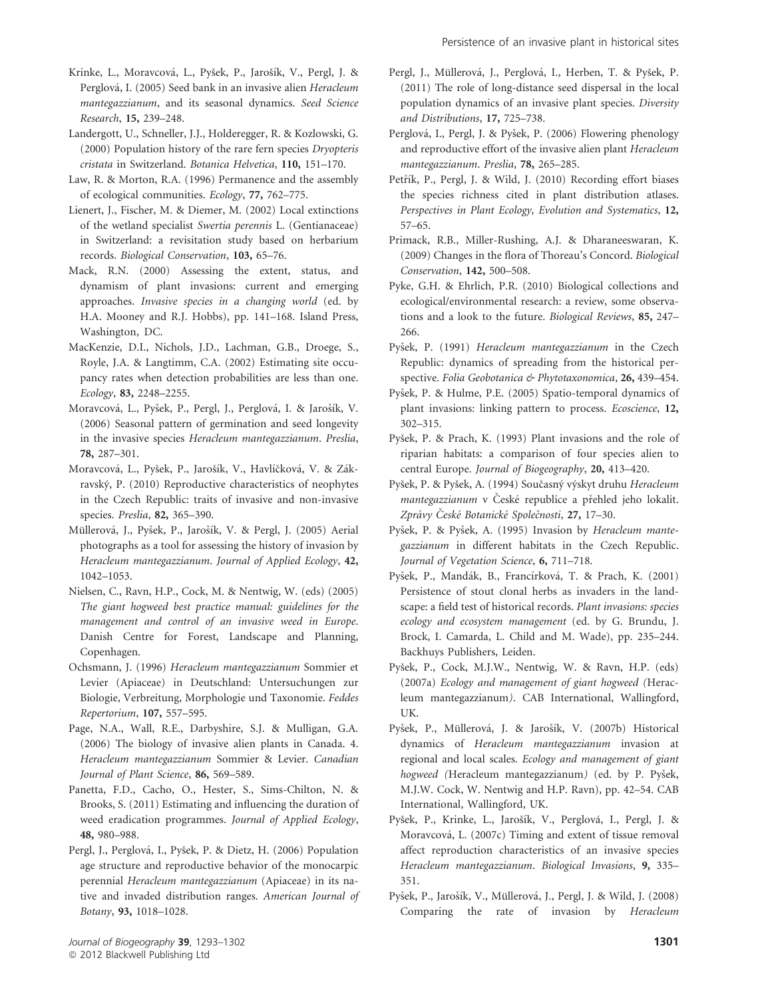- Krinke, L., Moravcová, L., Pyšek, P., Jarošík, V., Pergl, J. & Perglová, I. (2005) Seed bank in an invasive alien Heracleum mantegazzianum, and its seasonal dynamics. Seed Science Research, 15, 239–248.
- Landergott, U., Schneller, J.J., Holderegger, R. & Kozlowski, G. (2000) Population history of the rare fern species Dryopteris cristata in Switzerland. Botanica Helvetica, 110, 151–170.
- Law, R. & Morton, R.A. (1996) Permanence and the assembly of ecological communities. Ecology, 77, 762–775.
- Lienert, J., Fischer, M. & Diemer, M. (2002) Local extinctions of the wetland specialist Swertia perennis L. (Gentianaceae) in Switzerland: a revisitation study based on herbarium records. Biological Conservation, 103, 65–76.
- Mack, R.N. (2000) Assessing the extent, status, and dynamism of plant invasions: current and emerging approaches. Invasive species in a changing world (ed. by H.A. Mooney and R.J. Hobbs), pp. 141–168. Island Press, Washington, DC.
- MacKenzie, D.I., Nichols, J.D., Lachman, G.B., Droege, S., Royle, J.A. & Langtimm, C.A. (2002) Estimating site occupancy rates when detection probabilities are less than one. Ecology, 83, 2248–2255.
- Moravcová, L., Pyšek, P., Pergl, J., Perglová, I. & Jarošík, V. (2006) Seasonal pattern of germination and seed longevity in the invasive species Heracleum mantegazzianum. Preslia, 78, 287–301.
- Moravcová, L., Pyšek, P., Jarošík, V., Havlíčková, V. & Zákravsky´, P. (2010) Reproductive characteristics of neophytes in the Czech Republic: traits of invasive and non-invasive species. Preslia, 82, 365–390.
- Müllerová, J., Pyšek, P., Jarošík, V. & Pergl, J. (2005) Aerial photographs as a tool for assessing the history of invasion by Heracleum mantegazzianum. Journal of Applied Ecology, 42, 1042–1053.
- Nielsen, C., Ravn, H.P., Cock, M. & Nentwig, W. (eds) (2005) The giant hogweed best practice manual: guidelines for the management and control of an invasive weed in Europe. Danish Centre for Forest, Landscape and Planning, Copenhagen.
- Ochsmann, J. (1996) Heracleum mantegazzianum Sommier et Levier (Apiaceae) in Deutschland: Untersuchungen zur Biologie, Verbreitung, Morphologie und Taxonomie. Feddes Repertorium, 107, 557–595.
- Page, N.A., Wall, R.E., Darbyshire, S.J. & Mulligan, G.A. (2006) The biology of invasive alien plants in Canada. 4. Heracleum mantegazzianum Sommier & Levier. Canadian Journal of Plant Science, 86, 569–589.
- Panetta, F.D., Cacho, O., Hester, S., Sims-Chilton, N. & Brooks, S. (2011) Estimating and influencing the duration of weed eradication programmes. Journal of Applied Ecology, 48, 980–988.
- Pergl, J., Perglová, I., Pyšek, P. & Dietz, H. (2006) Population age structure and reproductive behavior of the monocarpic perennial Heracleum mantegazzianum (Apiaceae) in its native and invaded distribution ranges. American Journal of Botany, 93, 1018–1028.
- Pergl, J., Müllerová, J., Perglová, I., Herben, T. & Pyšek, P. (2011) The role of long-distance seed dispersal in the local population dynamics of an invasive plant species. Diversity and Distributions, 17, 725–738.
- Perglová, I., Pergl, J. & Pyšek, P. (2006) Flowering phenology and reproductive effort of the invasive alien plant Heracleum mantegazzianum. Preslia, 78, 265–285.
- Petřík, P., Pergl, J. & Wild, J. (2010) Recording effort biases the species richness cited in plant distribution atlases. Perspectives in Plant Ecology, Evolution and Systematics, 12, 57–65.
- Primack, R.B., Miller-Rushing, A.J. & Dharaneeswaran, K. (2009) Changes in the flora of Thoreau's Concord. Biological Conservation, 142, 500–508.
- Pyke, G.H. & Ehrlich, P.R. (2010) Biological collections and ecological/environmental research: a review, some observations and a look to the future. Biological Reviews, 85, 247– 266.
- Pyšek, P. (1991) Heracleum mantegazzianum in the Czech Republic: dynamics of spreading from the historical perspective. Folia Geobotanica & Phytotaxonomica, 26, 439-454.
- Pyšek, P. & Hulme, P.E. (2005) Spatio-temporal dynamics of plant invasions: linking pattern to process. Ecoscience, 12, 302–315.
- Pyšek, P. & Prach, K. (1993) Plant invasions and the role of riparian habitats: a comparison of four species alien to central Europe. Journal of Biogeography, 20, 413–420.
- Pyšek, P. & Pyšek, A. (1994) Současný výskyt druhu Heracleum mantegazzianum v České republice a přehled jeho lokalit. Zprávy České Botanické Společnosti, 27, 17–30.
- Pyšek, P. & Pyšek, A. (1995) Invasion by Heracleum mantegazzianum in different habitats in the Czech Republic. Journal of Vegetation Science, 6, 711–718.
- Pyšek, P., Mandák, B., Francírková, T. & Prach, K. (2001) Persistence of stout clonal herbs as invaders in the landscape: a field test of historical records. Plant invasions: species ecology and ecosystem management (ed. by G. Brundu, J. Brock, I. Camarda, L. Child and M. Wade), pp. 235–244. Backhuys Publishers, Leiden.
- Pyšek, P., Cock, M.J.W., Nentwig, W. & Ravn, H.P. (eds) (2007a) Ecology and management of giant hogweed (Heracleum mantegazzianum). CAB International, Wallingford, UK.
- Pyšek, P., Müllerová, J. & Jarošík, V. (2007b) Historical dynamics of Heracleum mantegazzianum invasion at regional and local scales. Ecology and management of giant hogweed (Heracleum mantegazzianum) (ed. by P. Pyšek, M.J.W. Cock, W. Nentwig and H.P. Ravn), pp. 42–54. CAB International, Wallingford, UK.
- Pyšek, P., Krinke, L., Jarošík, V., Perglová, I., Pergl, J. & Moravcová, L. (2007c) Timing and extent of tissue removal affect reproduction characteristics of an invasive species Heracleum mantegazzianum. Biological Invasions, 9, 335– 351.
- Pyšek, P., Jarošík, V., Müllerová, J., Pergl, J. & Wild, J. (2008) Comparing the rate of invasion by Heracleum